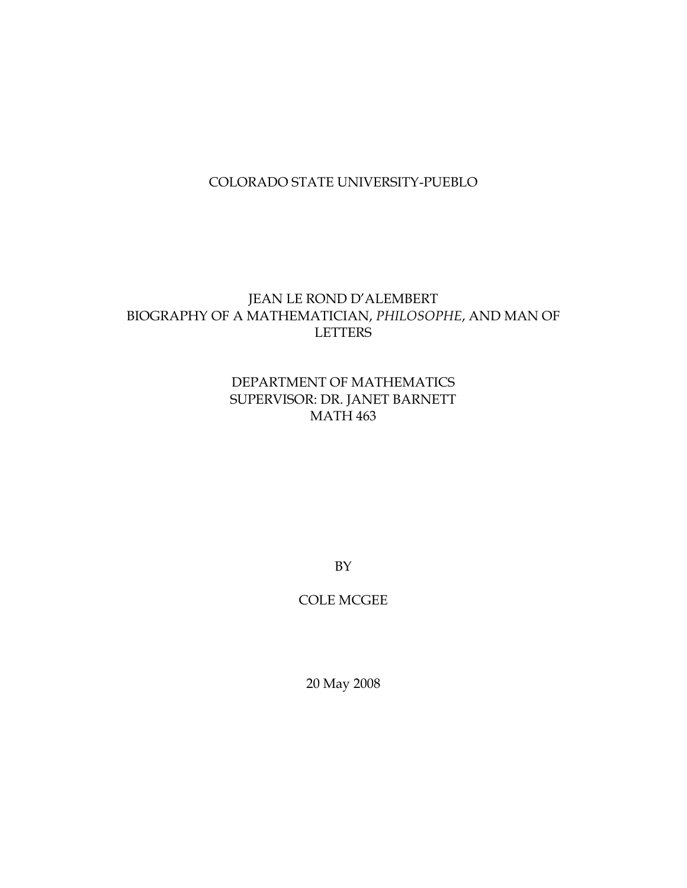## COLORADO STATE UNIVERSITY-PUEBLO

## JEAN LE ROND D'ALEMBERT BIOGRAPHY OF A MATHEMATICIAN, *PHILOSOPHE*, AND MAN OF LETTERS

## DEPARTMENT OF MATHEMATICS SUPERVISOR: DR. JANET BARNETT MATH 463

BY

COLE MCGEE

20 May 2008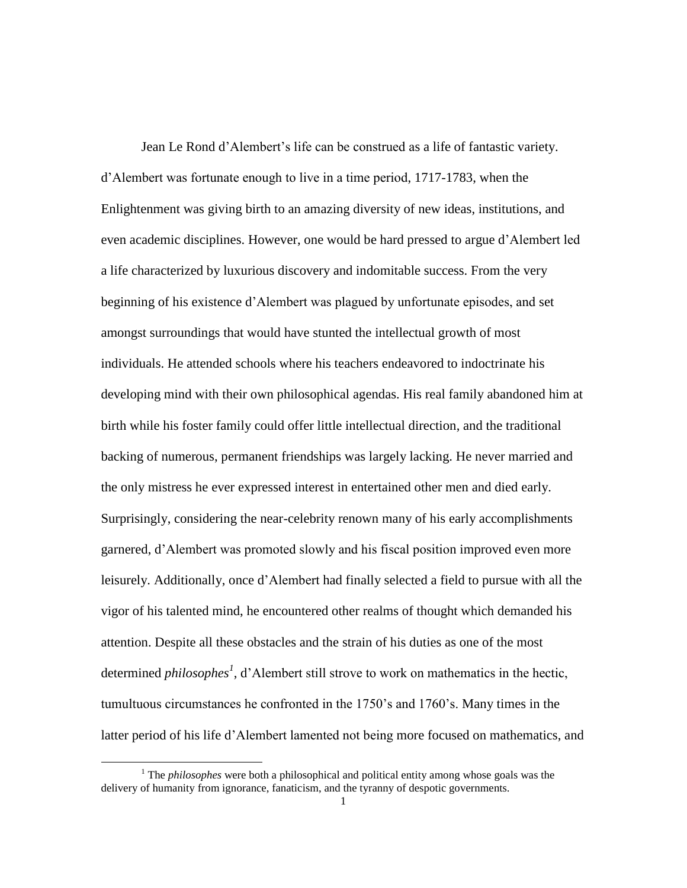Jean Le Rond d"Alembert"s life can be construed as a life of fantastic variety. d"Alembert was fortunate enough to live in a time period, 1717-1783, when the Enlightenment was giving birth to an amazing diversity of new ideas, institutions, and even academic disciplines. However, one would be hard pressed to argue d"Alembert led a life characterized by luxurious discovery and indomitable success. From the very beginning of his existence d"Alembert was plagued by unfortunate episodes, and set amongst surroundings that would have stunted the intellectual growth of most individuals. He attended schools where his teachers endeavored to indoctrinate his developing mind with their own philosophical agendas. His real family abandoned him at birth while his foster family could offer little intellectual direction, and the traditional backing of numerous, permanent friendships was largely lacking. He never married and the only mistress he ever expressed interest in entertained other men and died early. Surprisingly, considering the near-celebrity renown many of his early accomplishments garnered, d"Alembert was promoted slowly and his fiscal position improved even more leisurely. Additionally, once d"Alembert had finally selected a field to pursue with all the vigor of his talented mind, he encountered other realms of thought which demanded his attention. Despite all these obstacles and the strain of his duties as one of the most determined *philosophes<sup>1</sup>*, d'Alembert still strove to work on mathematics in the hectic, tumultuous circumstances he confronted in the 1750"s and 1760"s. Many times in the latter period of his life d"Alembert lamented not being more focused on mathematics, and

<sup>&</sup>lt;sup>1</sup> The *philosophes* were both a philosophical and political entity among whose goals was the delivery of humanity from ignorance, fanaticism, and the tyranny of despotic governments.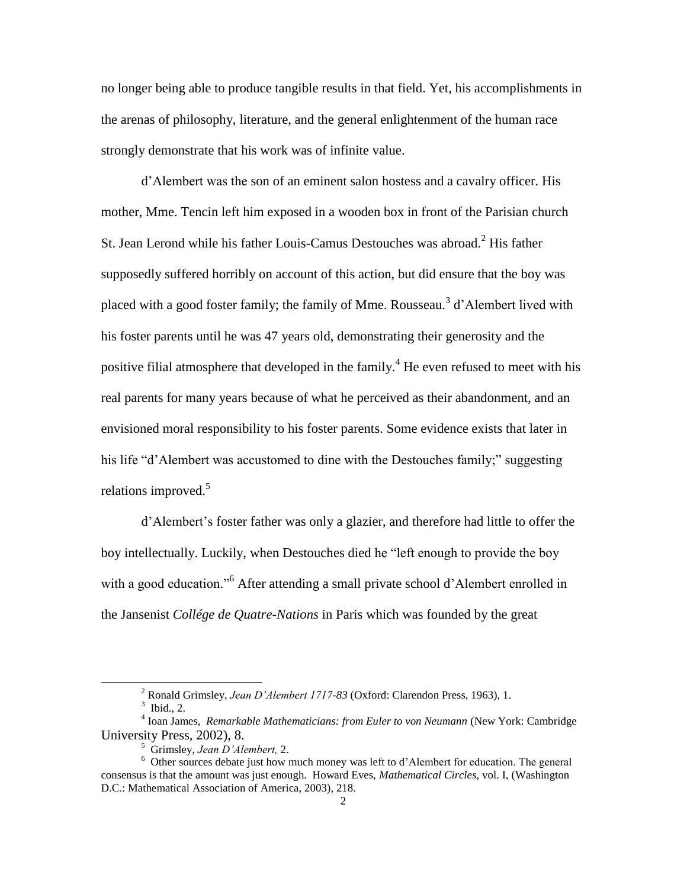no longer being able to produce tangible results in that field. Yet, his accomplishments in the arenas of philosophy, literature, and the general enlightenment of the human race strongly demonstrate that his work was of infinite value.

d"Alembert was the son of an eminent salon hostess and a cavalry officer. His mother, Mme. Tencin left him exposed in a wooden box in front of the Parisian church St. Jean Lerond while his father Louis-Camus Destouches was abroad. $<sup>2</sup>$  His father</sup> supposedly suffered horribly on account of this action, but did ensure that the boy was placed with a good foster family; the family of Mme. Rousseau.<sup>3</sup> d'Alembert lived with his foster parents until he was 47 years old, demonstrating their generosity and the positive filial atmosphere that developed in the family.<sup>4</sup> He even refused to meet with his real parents for many years because of what he perceived as their abandonment, and an envisioned moral responsibility to his foster parents. Some evidence exists that later in his life "d"Alembert was accustomed to dine with the Destouches family;" suggesting relations improved. $5$ 

d"Alembert"s foster father was only a glazier, and therefore had little to offer the boy intellectually. Luckily, when Destouches died he "left enough to provide the boy with a good education."<sup>6</sup> After attending a small private school d'Alembert enrolled in the Jansenist *Collége de Quatre-Nations* in Paris which was founded by the great

<sup>2</sup> Ronald Grimsley, *Jean D'Alembert 1717-83* (Oxford: Clarendon Press, 1963), 1.

 $3$  Ibid., 2.

<sup>4</sup> Ioan James, *Remarkable Mathematicians: from Euler to von Neumann* (New York: Cambridge University Press, 2002), 8.

<sup>5</sup> Grimsley, *Jean D'Alembert,* 2.

<sup>&</sup>lt;sup>6</sup> Other sources debate just how much money was left to d'Alembert for education. The general consensus is that the amount was just enough. Howard Eves, *Mathematical Circles*, vol. I, (Washington D.C.: Mathematical Association of America, 2003), 218.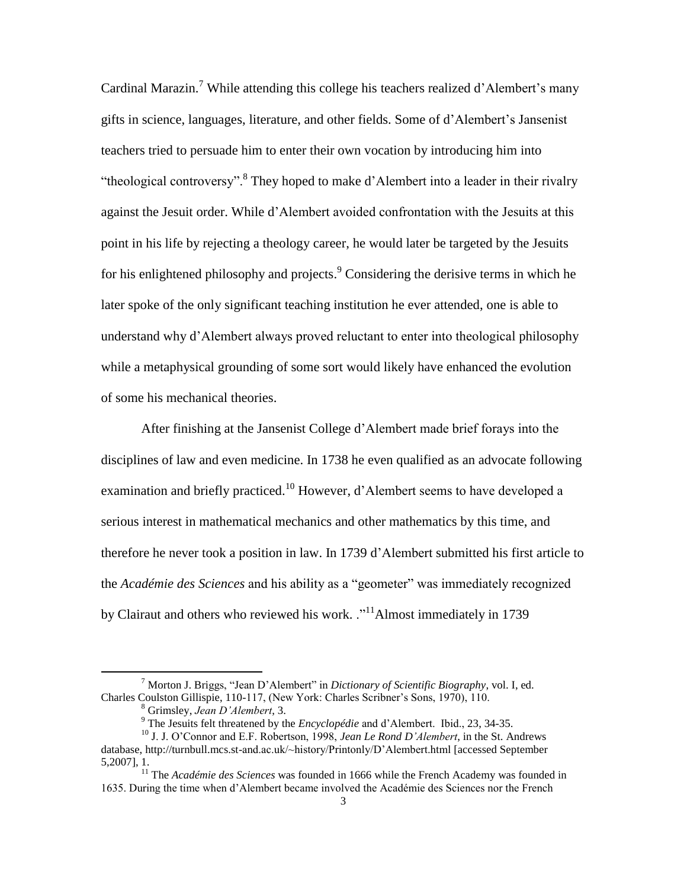Cardinal Marazin.<sup>7</sup> While attending this college his teachers realized d'Alembert's many gifts in science, languages, literature, and other fields. Some of d"Alembert"s Jansenist teachers tried to persuade him to enter their own vocation by introducing him into "theological controversy".<sup>8</sup> They hoped to make d'Alembert into a leader in their rivalry against the Jesuit order. While d"Alembert avoided confrontation with the Jesuits at this point in his life by rejecting a theology career, he would later be targeted by the Jesuits for his enlightened philosophy and projects. <sup>9</sup> Considering the derisive terms in which he later spoke of the only significant teaching institution he ever attended, one is able to understand why d"Alembert always proved reluctant to enter into theological philosophy while a metaphysical grounding of some sort would likely have enhanced the evolution of some his mechanical theories.

After finishing at the Jansenist College d"Alembert made brief forays into the disciplines of law and even medicine. In 1738 he even qualified as an advocate following examination and briefly practiced.<sup>10</sup> However, d'Alembert seems to have developed a serious interest in mathematical mechanics and other mathematics by this time, and therefore he never took a position in law. In 1739 d"Alembert submitted his first article to the *Académie des Sciences* and his ability as a "geometer" was immediately recognized by Clairaut and others who reviewed his work. .<sup>11</sup>Almost immediately in 1739

<sup>7</sup> Morton J. Briggs, "Jean D"Alembert" in *Dictionary of Scientific Biography*, vol. I, ed. Charles Coulston Gillispie, 110-117, (New York: Charles Scribner"s Sons, 1970), 110.

<sup>8</sup> Grimsley, *Jean D'Alembert*, 3.

<sup>&</sup>lt;sup>9</sup> The Jesuits felt threatened by the *Encyclopédie* and d'Alembert. Ibid., 23, 34-35.

<sup>10</sup> J. J. O"Connor and E.F. Robertson, 1998, *Jean Le Rond D'Alembert*, in the St. Andrews database, http://turnbull.mcs.st-and.ac.uk/~history/Printonly/D"Alembert.html [accessed September 5,2007], 1.

<sup>&</sup>lt;sup>11</sup> The *Académie des Sciences* was founded in 1666 while the French Academy was founded in 1635. During the time when d"Alembert became involved the Académie des Sciences nor the French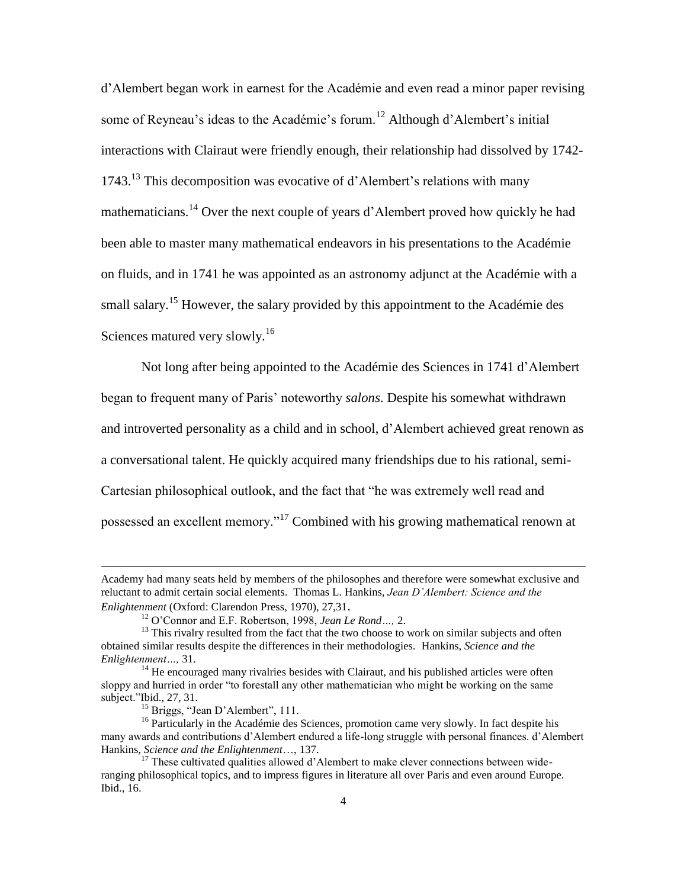d"Alembert began work in earnest for the Académie and even read a minor paper revising some of Reyneau's ideas to the Académie's forum.<sup>12</sup> Although d'Alembert's initial interactions with Clairaut were friendly enough, their relationship had dissolved by 1742- 1743.<sup>13</sup> This decomposition was evocative of d'Alembert's relations with many mathematicians.<sup>14</sup> Over the next couple of years d"Alembert proved how quickly he had been able to master many mathematical endeavors in his presentations to the Académie on fluids, and in 1741 he was appointed as an astronomy adjunct at the Académie with a small salary.<sup>15</sup> However, the salary provided by this appointment to the Académie des Sciences matured very slowly.<sup>16</sup>

Not long after being appointed to the Académie des Sciences in 1741 d"Alembert began to frequent many of Paris" noteworthy *salons*. Despite his somewhat withdrawn and introverted personality as a child and in school, d"Alembert achieved great renown as a conversational talent. He quickly acquired many friendships due to his rational, semi-Cartesian philosophical outlook, and the fact that "he was extremely well read and possessed an excellent memory."<sup>17</sup> Combined with his growing mathematical renown at

Academy had many seats held by members of the philosophes and therefore were somewhat exclusive and reluctant to admit certain social elements. Thomas L. Hankins, *Jean D'Alembert: Science and the Enlightenment* (Oxford: Clarendon Press, 1970), 27,31.

<sup>12</sup> O"Connor and E.F. Robertson, 1998, *Jean Le Rond…,* 2.

<sup>&</sup>lt;sup>13</sup> This rivalry resulted from the fact that the two choose to work on similar subjects and often obtained similar results despite the differences in their methodologies. Hankins, *Science and the Enlightenment…,* 31.

 $14$  He encouraged many rivalries besides with Clairaut, and his published articles were often sloppy and hurried in order "to forestall any other mathematician who might be working on the same subject."Ibid., 27, 31.

<sup>&</sup>lt;sup>15</sup> Briggs, "Jean D'Alembert", 111.

<sup>&</sup>lt;sup>16</sup> Particularly in the Académie des Sciences, promotion came very slowly. In fact despite his many awards and contributions d"Alembert endured a life-long struggle with personal finances. d"Alembert Hankins, *Science and the Enlightenment*…, 137.

 $17$  These cultivated qualities allowed d'Alembert to make clever connections between wideranging philosophical topics, and to impress figures in literature all over Paris and even around Europe. Ibid., 16.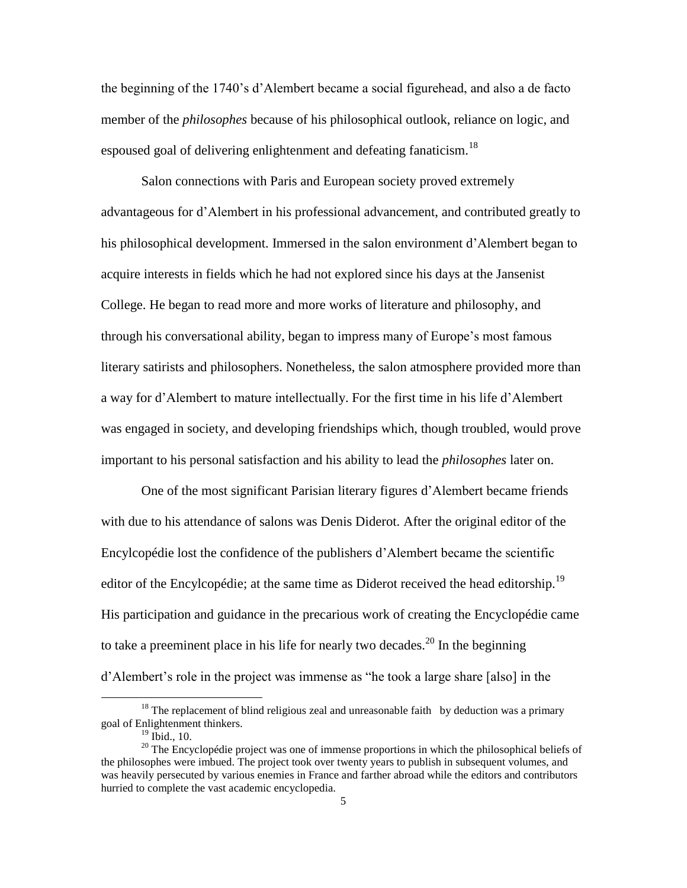the beginning of the 1740"s d"Alembert became a social figurehead, and also a de facto member of the *philosophes* because of his philosophical outlook, reliance on logic, and espoused goal of delivering enlightenment and defeating fanaticism.<sup>18</sup>

Salon connections with Paris and European society proved extremely advantageous for d"Alembert in his professional advancement, and contributed greatly to his philosophical development. Immersed in the salon environment d"Alembert began to acquire interests in fields which he had not explored since his days at the Jansenist College. He began to read more and more works of literature and philosophy, and through his conversational ability, began to impress many of Europe"s most famous literary satirists and philosophers. Nonetheless, the salon atmosphere provided more than a way for d"Alembert to mature intellectually. For the first time in his life d"Alembert was engaged in society, and developing friendships which, though troubled, would prove important to his personal satisfaction and his ability to lead the *philosophes* later on.

One of the most significant Parisian literary figures d"Alembert became friends with due to his attendance of salons was Denis Diderot. After the original editor of the Encylcopédie lost the confidence of the publishers d"Alembert became the scientific editor of the Encylcopédie; at the same time as Diderot received the head editorship.<sup>19</sup> His participation and guidance in the precarious work of creating the Encyclopédie came to take a preeminent place in his life for nearly two decades.<sup>20</sup> In the beginning d"Alembert"s role in the project was immense as "he took a large share [also] in the

 $18$  The replacement of blind religious zeal and unreasonable faith by deduction was a primary goal of Enlightenment thinkers.

 $19$  Ibid., 10.

<sup>&</sup>lt;sup>20</sup> The Encyclopédie project was one of immense proportions in which the philosophical beliefs of the philosophes were imbued. The project took over twenty years to publish in subsequent volumes, and was heavily persecuted by various enemies in France and farther abroad while the editors and contributors hurried to complete the vast academic encyclopedia.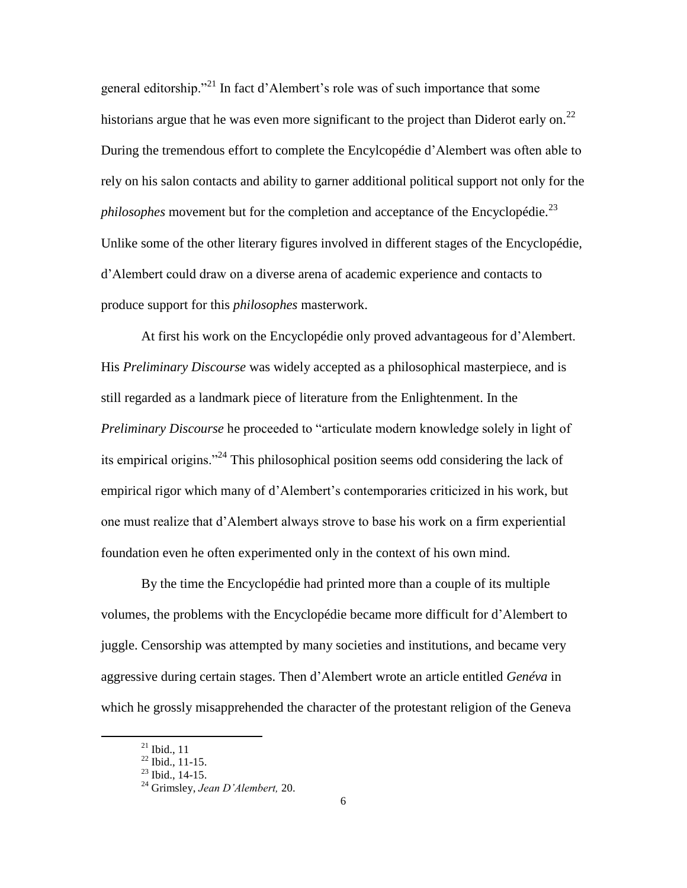general editorship."<sup>21</sup> In fact d"Alembert"s role was of such importance that some historians argue that he was even more significant to the project than Diderot early on.<sup>22</sup> During the tremendous effort to complete the Encylcopédie d"Alembert was often able to rely on his salon contacts and ability to garner additional political support not only for the *philosophes* movement but for the completion and acceptance of the Encyclopédie.<sup>23</sup> Unlike some of the other literary figures involved in different stages of the Encyclopédie, d"Alembert could draw on a diverse arena of academic experience and contacts to produce support for this *philosophes* masterwork.

At first his work on the Encyclopédie only proved advantageous for d"Alembert. His *Preliminary Discourse* was widely accepted as a philosophical masterpiece, and is still regarded as a landmark piece of literature from the Enlightenment. In the *Preliminary Discourse* he proceeded to "articulate modern knowledge solely in light of its empirical origins."<sup>24</sup> This philosophical position seems odd considering the lack of empirical rigor which many of d"Alembert"s contemporaries criticized in his work, but one must realize that d"Alembert always strove to base his work on a firm experiential foundation even he often experimented only in the context of his own mind.

By the time the Encyclopédie had printed more than a couple of its multiple volumes, the problems with the Encyclopédie became more difficult for d"Alembert to juggle. Censorship was attempted by many societies and institutions, and became very aggressive during certain stages. Then d"Alembert wrote an article entitled *Genéva* in which he grossly misapprehended the character of the protestant religion of the Geneva

 $21$  Ibid., 11

 $^{22}$  Ibid., 11-15.

 $^{23}$  Ibid., 14-15.

<sup>24</sup> Grimsley, *Jean D'Alembert,* 20.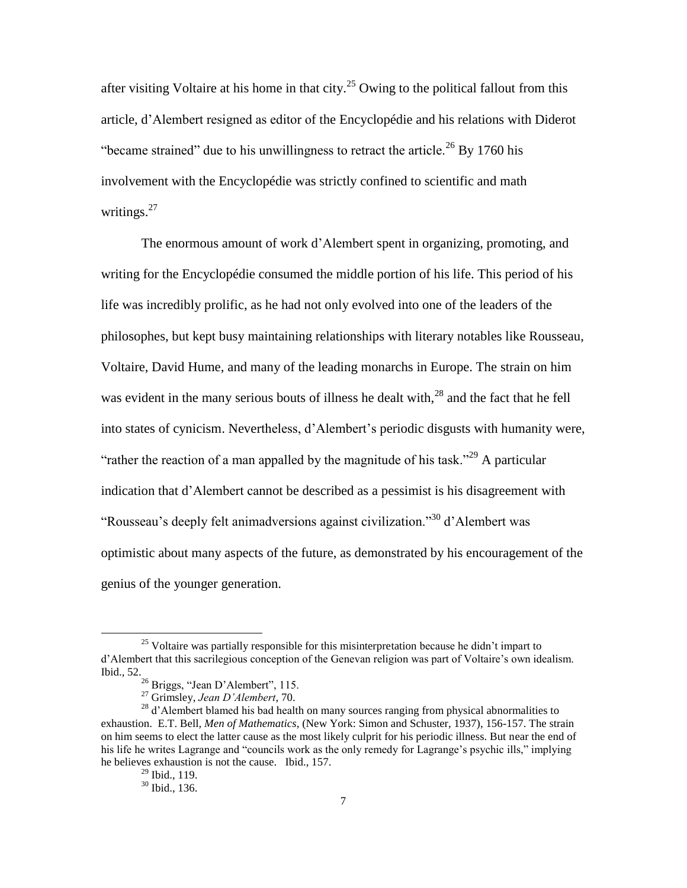after visiting Voltaire at his home in that city.<sup>25</sup> Owing to the political fallout from this article, d"Alembert resigned as editor of the Encyclopédie and his relations with Diderot "became strained" due to his unwillingness to retract the article.<sup>26</sup> By 1760 his involvement with the Encyclopédie was strictly confined to scientific and math writings. $27$ 

The enormous amount of work d"Alembert spent in organizing, promoting, and writing for the Encyclopédie consumed the middle portion of his life. This period of his life was incredibly prolific, as he had not only evolved into one of the leaders of the philosophes, but kept busy maintaining relationships with literary notables like Rousseau, Voltaire, David Hume, and many of the leading monarchs in Europe. The strain on him was evident in the many serious bouts of illness he dealt with, $^{28}$  and the fact that he fell into states of cynicism. Nevertheless, d"Alembert"s periodic disgusts with humanity were, "rather the reaction of a man appalled by the magnitude of his task."<sup>29</sup> A particular indication that d"Alembert cannot be described as a pessimist is his disagreement with "Rousseau's deeply felt animadversions against civilization."<sup>30</sup> d'Alembert was optimistic about many aspects of the future, as demonstrated by his encouragement of the genius of the younger generation.

 $25$  Voltaire was partially responsible for this misinterpretation because he didn't impart to d"Alembert that this sacrilegious conception of the Genevan religion was part of Voltaire"s own idealism. Ibid., 52.

<sup>26</sup> Briggs, "Jean D"Alembert", 115.

<sup>27</sup> Grimsley, *Jean D'Alembert*, 70.

<sup>&</sup>lt;sup>28</sup> d'Alembert blamed his bad health on many sources ranging from physical abnormalities to exhaustion. E.T. Bell*, Men of Mathematics*, (New York: Simon and Schuster, 1937), 156-157. The strain on him seems to elect the latter cause as the most likely culprit for his periodic illness. But near the end of his life he writes Lagrange and "councils work as the only remedy for Lagrange"s psychic ills," implying he believes exhaustion is not the cause. Ibid., 157.

 $29$  Ibid., 119.

<sup>30</sup> Ibid., 136.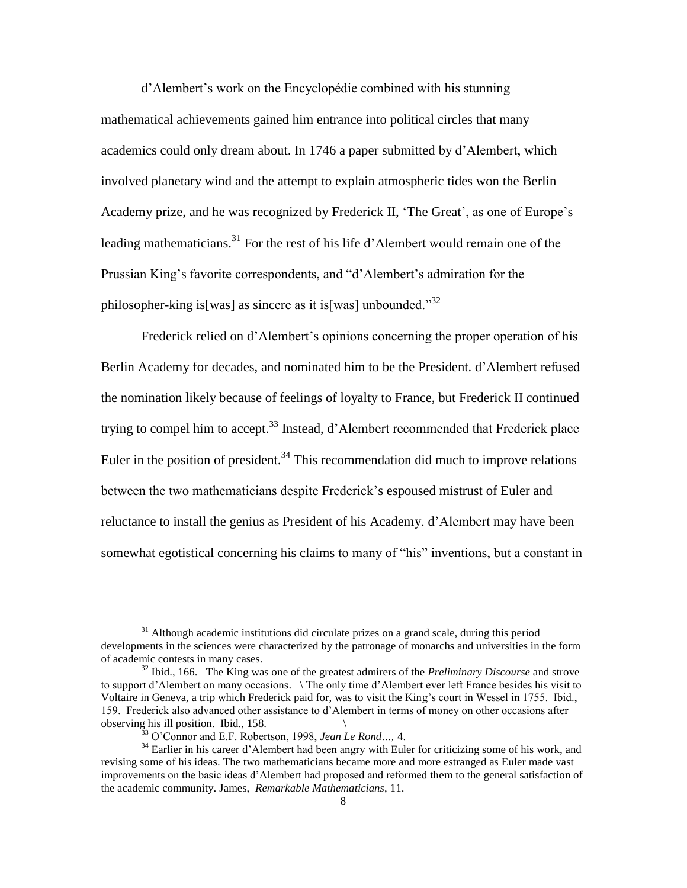d"Alembert"s work on the Encyclopédie combined with his stunning mathematical achievements gained him entrance into political circles that many academics could only dream about. In 1746 a paper submitted by d"Alembert, which involved planetary wind and the attempt to explain atmospheric tides won the Berlin Academy prize, and he was recognized by Frederick II, 'The Great', as one of Europe's leading mathematicians.<sup>31</sup> For the rest of his life d'Alembert would remain one of the Prussian King"s favorite correspondents, and "d"Alembert"s admiration for the philosopher-king is [was] as sincere as it is [was] unbounded.<sup>332</sup>

Frederick relied on d"Alembert"s opinions concerning the proper operation of his Berlin Academy for decades, and nominated him to be the President. d"Alembert refused the nomination likely because of feelings of loyalty to France, but Frederick II continued trying to compel him to accept.<sup>33</sup> Instead, d'Alembert recommended that Frederick place Euler in the position of president.<sup>34</sup> This recommendation did much to improve relations between the two mathematicians despite Frederick's espoused mistrust of Euler and reluctance to install the genius as President of his Academy. d"Alembert may have been somewhat egotistical concerning his claims to many of "his" inventions, but a constant in

 $31$  Although academic institutions did circulate prizes on a grand scale, during this period developments in the sciences were characterized by the patronage of monarchs and universities in the form of academic contests in many cases.

<sup>32</sup> Ibid., 166. The King was one of the greatest admirers of the *Preliminary Discourse* and strove to support d"Alembert on many occasions. \ The only time d"Alembert ever left France besides his visit to Voltaire in Geneva, a trip which Frederick paid for, was to visit the King"s court in Wessel in 1755. Ibid., 159. Frederick also advanced other assistance to d"Alembert in terms of money on other occasions after observing his ill position. Ibid., 158. \

<sup>33</sup> O"Connor and E.F. Robertson, 1998, *Jean Le Rond…,* 4.

<sup>&</sup>lt;sup>34</sup> Earlier in his career d'Alembert had been angry with Euler for criticizing some of his work, and revising some of his ideas. The two mathematicians became more and more estranged as Euler made vast improvements on the basic ideas d"Alembert had proposed and reformed them to the general satisfaction of the academic community. James, *Remarkable Mathematicians*, 11.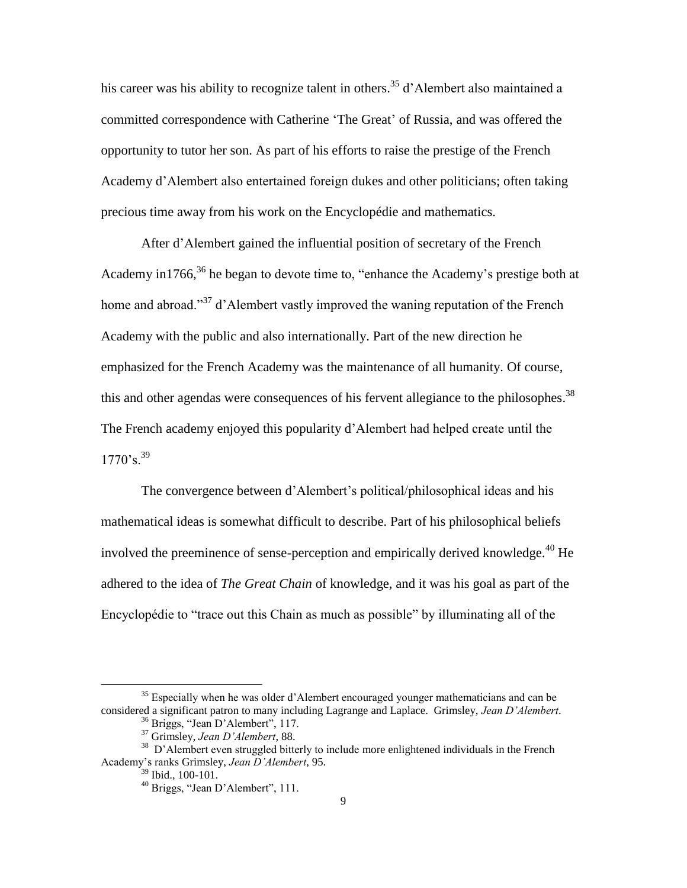his career was his ability to recognize talent in others.<sup>35</sup> d'Alembert also maintained a committed correspondence with Catherine 'The Great' of Russia, and was offered the opportunity to tutor her son. As part of his efforts to raise the prestige of the French Academy d"Alembert also entertained foreign dukes and other politicians; often taking precious time away from his work on the Encyclopédie and mathematics.

After d"Alembert gained the influential position of secretary of the French Academy in 1766,<sup>36</sup> he began to devote time to, "enhance the Academy's prestige both at home and abroad."<sup>37</sup> d'Alembert vastly improved the waning reputation of the French Academy with the public and also internationally. Part of the new direction he emphasized for the French Academy was the maintenance of all humanity. Of course, this and other agendas were consequences of his fervent allegiance to the philosophes.<sup>38</sup> The French academy enjoyed this popularity d"Alembert had helped create until the  $1770$ 's.<sup>39</sup>

The convergence between d"Alembert"s political/philosophical ideas and his mathematical ideas is somewhat difficult to describe. Part of his philosophical beliefs involved the preeminence of sense-perception and empirically derived knowledge.<sup>40</sup> He adhered to the idea of *The Great Chain* of knowledge, and it was his goal as part of the Encyclopédie to "trace out this Chain as much as possible" by illuminating all of the

<sup>&</sup>lt;sup>35</sup> Especially when he was older d'Alembert encouraged younger mathematicians and can be considered a significant patron to many including Lagrange and Laplace. Grimsley, *Jean D'Alembert*.

<sup>36</sup> Briggs, "Jean D"Alembert", 117.

<sup>37</sup> Grimsley, *Jean D'Alembert*, 88.

<sup>&</sup>lt;sup>38</sup> D'Alembert even struggled bitterly to include more enlightened individuals in the French Academy"s ranks Grimsley, *Jean D'Alembert*, 95.

<sup>39</sup> Ibid., 100-101.

<sup>40</sup> Briggs, "Jean D"Alembert", 111.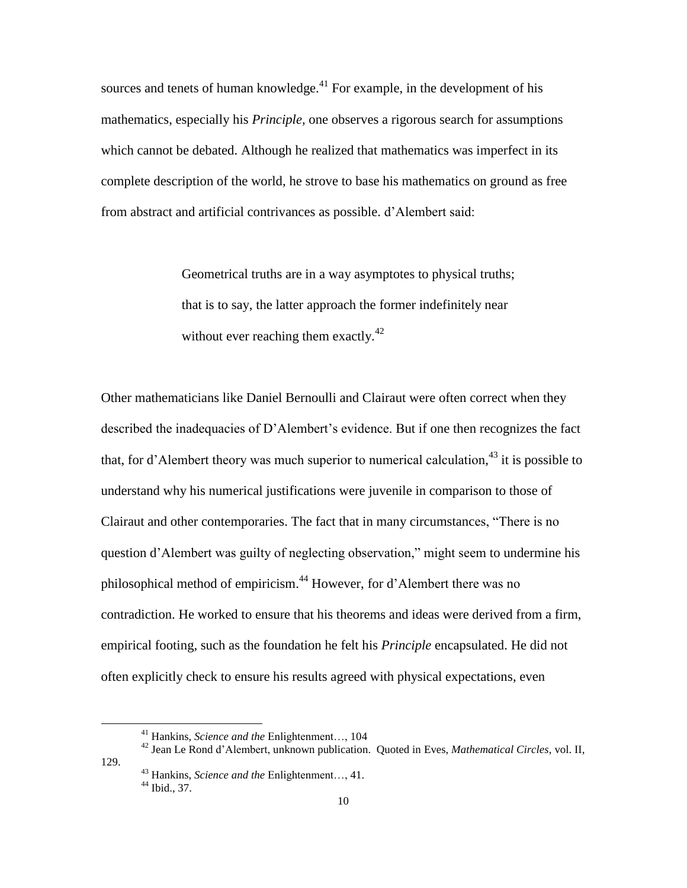sources and tenets of human knowledge.<sup>41</sup> For example, in the development of his mathematics, especially his *Principle,* one observes a rigorous search for assumptions which cannot be debated. Although he realized that mathematics was imperfect in its complete description of the world, he strove to base his mathematics on ground as free from abstract and artificial contrivances as possible. d"Alembert said:

> Geometrical truths are in a way asymptotes to physical truths; that is to say, the latter approach the former indefinitely near without ever reaching them exactly.<sup>42</sup>

Other mathematicians like Daniel Bernoulli and Clairaut were often correct when they described the inadequacies of D"Alembert"s evidence. But if one then recognizes the fact that, for d'Alembert theory was much superior to numerical calculation,  $43$  it is possible to understand why his numerical justifications were juvenile in comparison to those of Clairaut and other contemporaries. The fact that in many circumstances, "There is no question d"Alembert was guilty of neglecting observation," might seem to undermine his philosophical method of empiricism.<sup>44</sup> However, for d'Alembert there was no contradiction. He worked to ensure that his theorems and ideas were derived from a firm, empirical footing, such as the foundation he felt his *Principle* encapsulated. He did not often explicitly check to ensure his results agreed with physical expectations, even

 $\overline{a}$ 

129.

<sup>41</sup> Hankins, *Science and the* Enlightenment…, 104

<sup>42</sup> Jean Le Rond d"Alembert, unknown publication. Quoted in Eves, *Mathematical Circles*, vol. II,

<sup>43</sup> Hankins, *Science and the* Enlightenment…, 41. 44 Ibid., 37.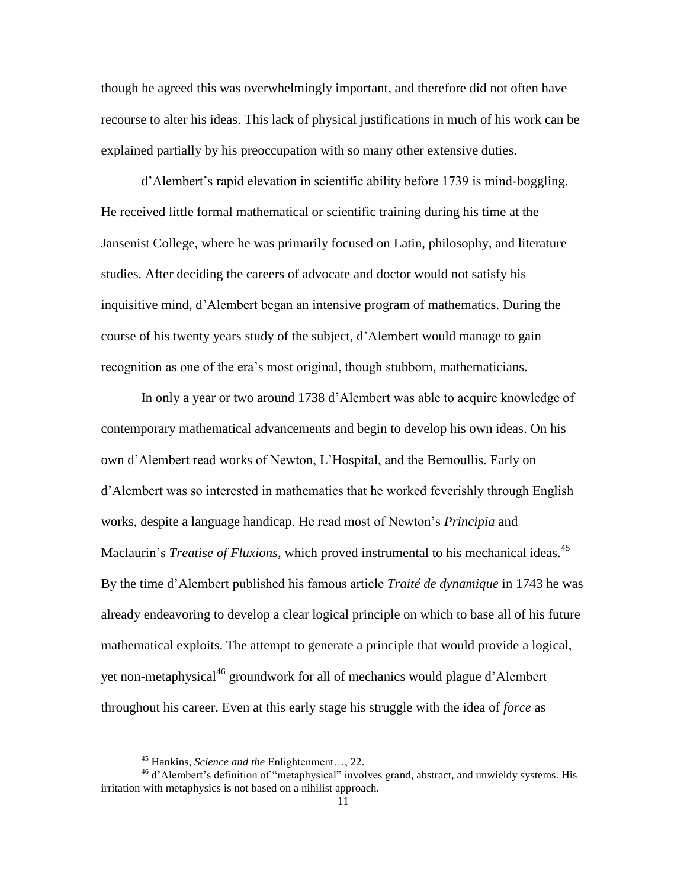though he agreed this was overwhelmingly important, and therefore did not often have recourse to alter his ideas. This lack of physical justifications in much of his work can be explained partially by his preoccupation with so many other extensive duties.

d"Alembert"s rapid elevation in scientific ability before 1739 is mind-boggling. He received little formal mathematical or scientific training during his time at the Jansenist College, where he was primarily focused on Latin, philosophy, and literature studies. After deciding the careers of advocate and doctor would not satisfy his inquisitive mind, d"Alembert began an intensive program of mathematics. During the course of his twenty years study of the subject, d"Alembert would manage to gain recognition as one of the era"s most original, though stubborn, mathematicians.

In only a year or two around 1738 d"Alembert was able to acquire knowledge of contemporary mathematical advancements and begin to develop his own ideas. On his own d"Alembert read works of Newton, L"Hospital, and the Bernoullis. Early on d"Alembert was so interested in mathematics that he worked feverishly through English works, despite a language handicap. He read most of Newton"s *Principia* and Maclaurin's *Treatise of Fluxions*, which proved instrumental to his mechanical ideas.<sup>45</sup> By the time d"Alembert published his famous article *Traité de dynamique* in 1743 he was already endeavoring to develop a clear logical principle on which to base all of his future mathematical exploits. The attempt to generate a principle that would provide a logical, yet non-metaphysical<sup>46</sup> groundwork for all of mechanics would plague d'Alembert throughout his career. Even at this early stage his struggle with the idea of *force* as

<sup>45</sup> Hankins, *Science and the* Enlightenment…, 22.

<sup>&</sup>lt;sup>46</sup> d'Alembert's definition of "metaphysical" involves grand, abstract, and unwieldy systems. His irritation with metaphysics is not based on a nihilist approach.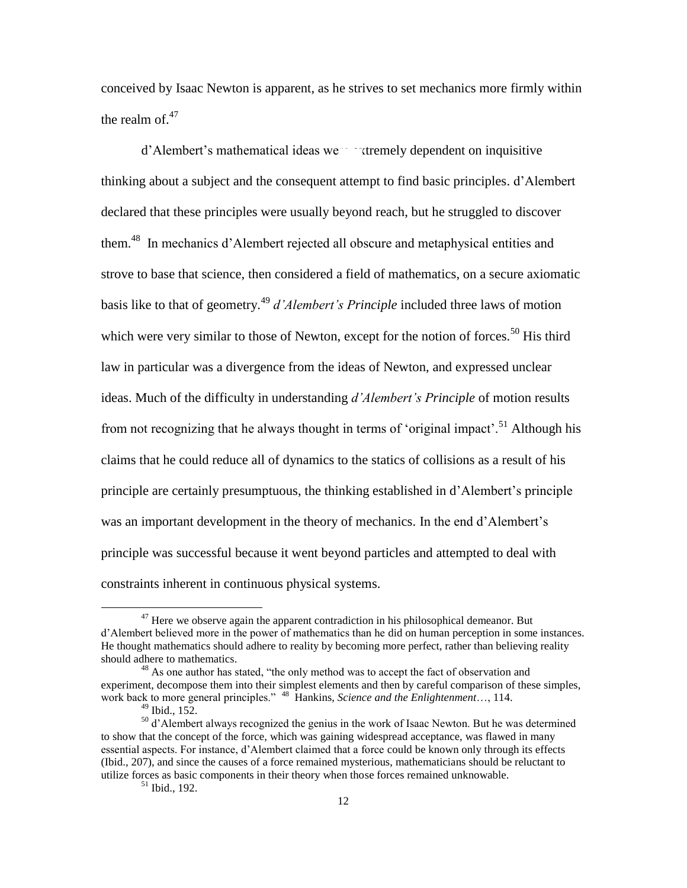conceived by Isaac Newton is apparent, as he strives to set mechanics more firmly within the realm of.<sup>47</sup>

d'Alembert's mathematical ideas we tremely dependent on inquisitive thinking about a subject and the consequent attempt to find basic principles. d"Alembert declared that these principles were usually beyond reach, but he struggled to discover them.<sup>48</sup> In mechanics d'Alembert rejected all obscure and metaphysical entities and strove to base that science, then considered a field of mathematics, on a secure axiomatic basis like to that of geometry.<sup>49</sup> *d'Alembert's Principle* included three laws of motion which were very similar to those of Newton, except for the notion of forces.<sup>50</sup> His third law in particular was a divergence from the ideas of Newton, and expressed unclear ideas. Much of the difficulty in understanding *d'Alembert's Principle* of motion results from not recognizing that he always thought in terms of 'original impact'.<sup>51</sup> Although his claims that he could reduce all of dynamics to the statics of collisions as a result of his principle are certainly presumptuous, the thinking established in d"Alembert"s principle was an important development in the theory of mechanics. In the end d'Alembert's principle was successful because it went beyond particles and attempted to deal with constraints inherent in continuous physical systems.

 $47$  Here we observe again the apparent contradiction in his philosophical demeanor. But d"Alembert believed more in the power of mathematics than he did on human perception in some instances. He thought mathematics should adhere to reality by becoming more perfect, rather than believing reality should adhere to mathematics.

<sup>&</sup>lt;sup>48</sup> As one author has stated, "the only method was to accept the fact of observation and experiment, decompose them into their simplest elements and then by careful comparison of these simples, work back to more general principles." 48 Hankins, *Science and the Enlightenment*…, 114.

<sup>49</sup> Ibid., 152.

<sup>&</sup>lt;sup>50</sup> d'Alembert always recognized the genius in the work of Isaac Newton. But he was determined to show that the concept of the force, which was gaining widespread acceptance, was flawed in many essential aspects. For instance, d"Alembert claimed that a force could be known only through its effects (Ibid., 207), and since the causes of a force remained mysterious, mathematicians should be reluctant to utilize forces as basic components in their theory when those forces remained unknowable.

 $51$  Ibid., 192.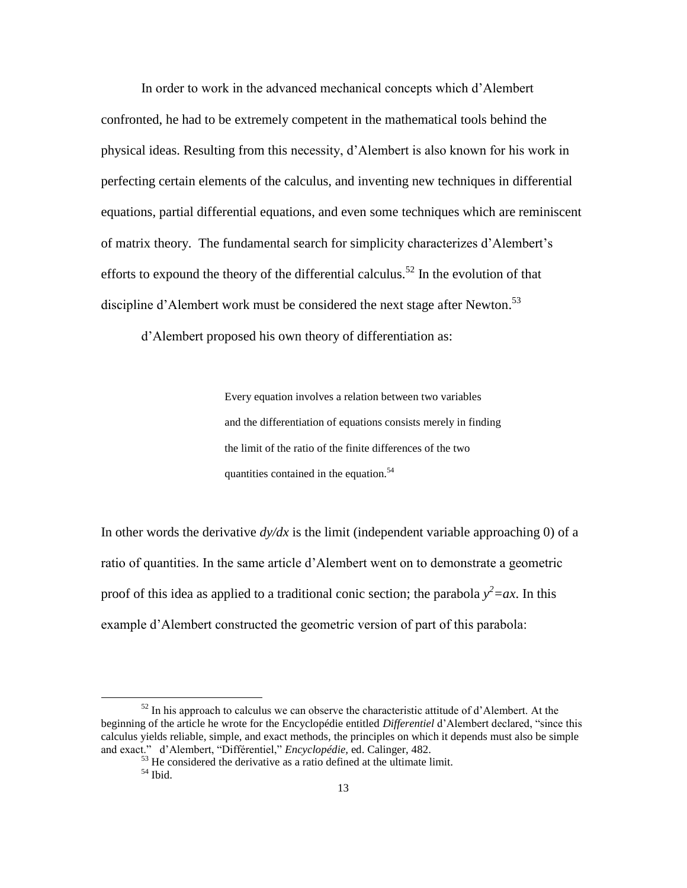In order to work in the advanced mechanical concepts which d"Alembert confronted, he had to be extremely competent in the mathematical tools behind the physical ideas. Resulting from this necessity, d"Alembert is also known for his work in perfecting certain elements of the calculus, and inventing new techniques in differential equations, partial differential equations, and even some techniques which are reminiscent of matrix theory. The fundamental search for simplicity characterizes d"Alembert"s efforts to expound the theory of the differential calculus.<sup>52</sup> In the evolution of that discipline d'Alembert work must be considered the next stage after Newton.<sup>53</sup>

d"Alembert proposed his own theory of differentiation as:

Every equation involves a relation between two variables and the differentiation of equations consists merely in finding the limit of the ratio of the finite differences of the two quantities contained in the equation.<sup>54</sup>

In other words the derivative  $dy/dx$  is the limit (independent variable approaching 0) of a ratio of quantities. In the same article d"Alembert went on to demonstrate a geometric proof of this idea as applied to a traditional conic section; the parabola  $y^2 = ax$ . In this example d"Alembert constructed the geometric version of part of this parabola:

 $52$  In his approach to calculus we can observe the characteristic attitude of d'Alembert. At the beginning of the article he wrote for the Encyclopédie entitled *Differentiel* d"Alembert declared, "since this calculus yields reliable, simple, and exact methods, the principles on which it depends must also be simple and exact." d"Alembert, "Différentiel," *Encyclopédie,* ed. Calinger, 482.

<sup>&</sup>lt;sup>53</sup> He considered the derivative as a ratio defined at the ultimate limit.

<sup>54</sup> Ibid.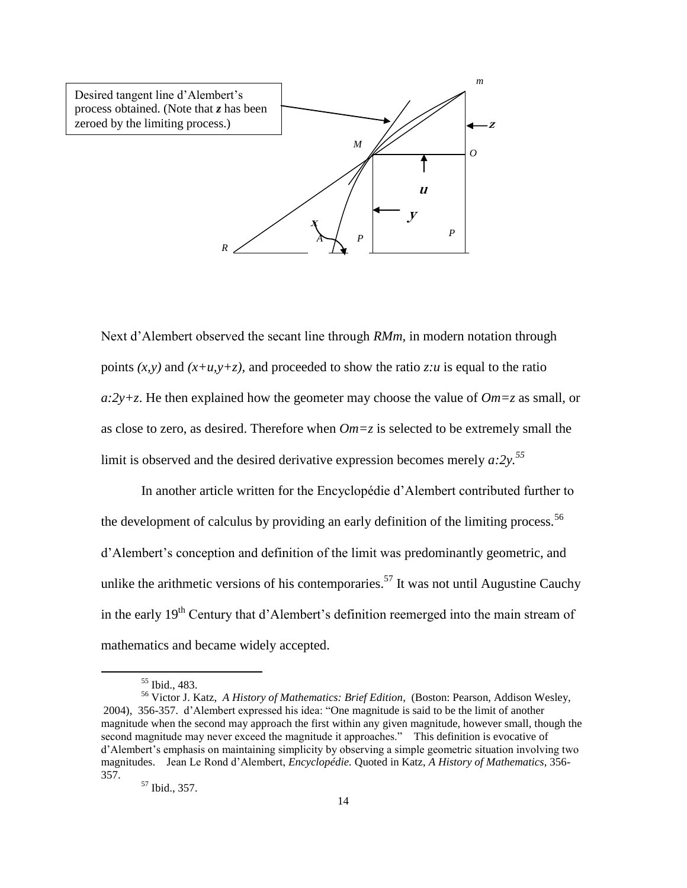

Next d"Alembert observed the secant line through *RMm,* in modern notation through points  $(x, y)$  and  $(x+u, y+z)$ , and proceeded to show the ratio *z:u* is equal to the ratio *a:2y+z*. He then explained how the geometer may choose the value of *Om=z* as small, or as close to zero, as desired. Therefore when *Om=z* is selected to be extremely small the limit is observed and the desired derivative expression becomes merely  $a:2y$ <sup>55</sup>

In another article written for the Encyclopédie d"Alembert contributed further to the development of calculus by providing an early definition of the limiting process.<sup>56</sup> d"Alembert"s conception and definition of the limit was predominantly geometric, and unlike the arithmetic versions of his contemporaries.<sup>57</sup> It was not until Augustine Cauchy in the early  $19<sup>th</sup>$  Century that d'Alembert's definition reemerged into the main stream of mathematics and became widely accepted.

<sup>55</sup> Ibid., 483.

<sup>56</sup> Victor J. Katz, *A History of Mathematics: Brief Edition*, (Boston: Pearson, Addison Wesley, 2004), 356-357. d"Alembert expressed his idea: "One magnitude is said to be the limit of another magnitude when the second may approach the first within any given magnitude, however small, though the second magnitude may never exceed the magnitude it approaches." This definition is evocative of d"Alembert"s emphasis on maintaining simplicity by observing a simple geometric situation involving two magnitudes. Jean Le Rond d"Alembert, *Encyclopédie.* Quoted in Katz, *A History of Mathematics*, 356- 357.

<sup>57</sup> Ibid., 357.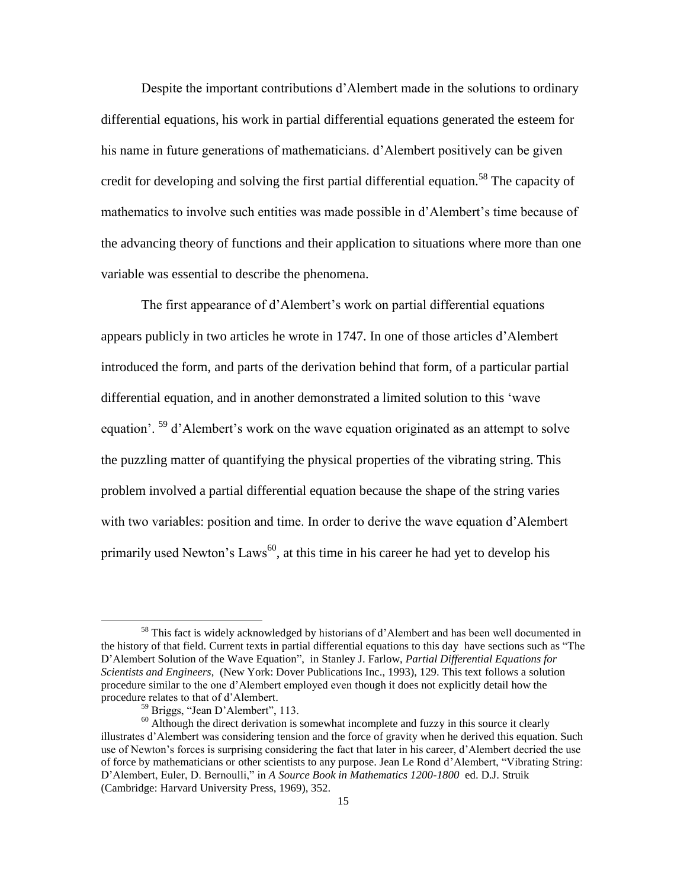Despite the important contributions d"Alembert made in the solutions to ordinary differential equations, his work in partial differential equations generated the esteem for his name in future generations of mathematicians. d"Alembert positively can be given credit for developing and solving the first partial differential equation.<sup>58</sup> The capacity of mathematics to involve such entities was made possible in d"Alembert"s time because of the advancing theory of functions and their application to situations where more than one variable was essential to describe the phenomena.

The first appearance of d'Alembert's work on partial differential equations appears publicly in two articles he wrote in 1747. In one of those articles d"Alembert introduced the form, and parts of the derivation behind that form, of a particular partial differential equation, and in another demonstrated a limited solution to this "wave equation'.  $59$  d'Alembert's work on the wave equation originated as an attempt to solve the puzzling matter of quantifying the physical properties of the vibrating string. This problem involved a partial differential equation because the shape of the string varies with two variables: position and time. In order to derive the wave equation d'Alembert primarily used Newton's  $Laws^{60}$ , at this time in his career he had yet to develop his

<sup>&</sup>lt;sup>58</sup> This fact is widely acknowledged by historians of d'Alembert and has been well documented in the history of that field. Current texts in partial differential equations to this day have sections such as "The D"Alembert Solution of the Wave Equation", in Stanley J. Farlow, *Partial Differential Equations for Scientists and Engineers*, (New York: Dover Publications Inc., 1993), 129. This text follows a solution procedure similar to the one d"Alembert employed even though it does not explicitly detail how the procedure relates to that of d"Alembert.

<sup>59</sup> Briggs, "Jean D"Alembert", 113.

 $60$  Although the direct derivation is somewhat incomplete and fuzzy in this source it clearly illustrates d"Alembert was considering tension and the force of gravity when he derived this equation. Such use of Newton"s forces is surprising considering the fact that later in his career, d"Alembert decried the use of force by mathematicians or other scientists to any purpose. Jean Le Rond d"Alembert, "Vibrating String: D"Alembert, Euler, D. Bernoulli," in *A Source Book in Mathematics 1200-1800* ed. D.J. Struik (Cambridge: Harvard University Press, 1969), 352.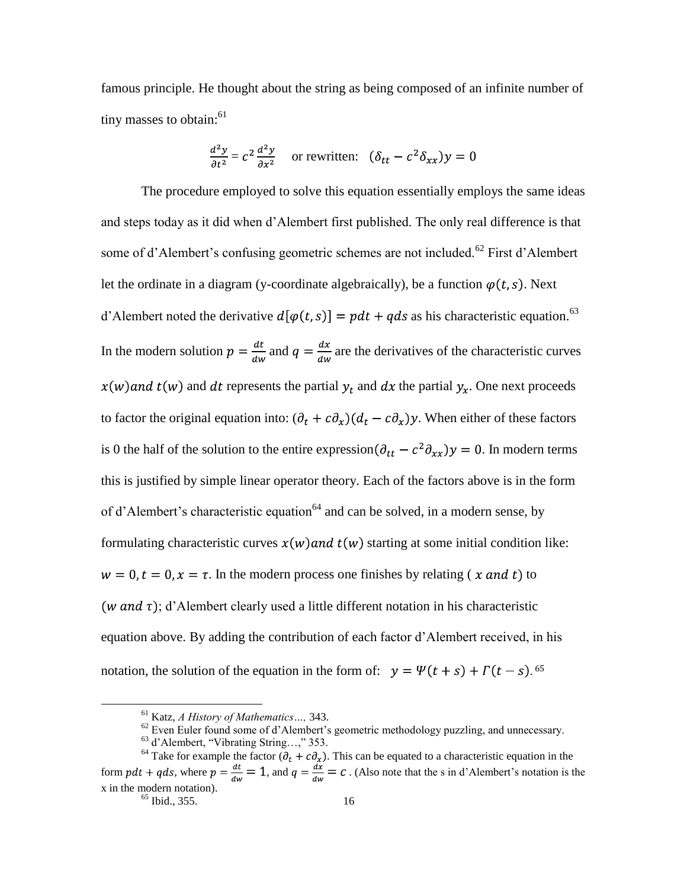famous principle. He thought about the string as being composed of an infinite number of tiny masses to obtain: $61$ 

$$
\frac{d^2y}{\partial t^2} = c^2 \frac{d^2y}{\partial x^2}
$$
 or rewritten:  $(\delta_{tt} - c^2 \delta_{xx})y = 0$ 

The procedure employed to solve this equation essentially employs the same ideas and steps today as it did when d"Alembert first published. The only real difference is that some of d'Alembert's confusing geometric schemes are not included.<sup>62</sup> First d'Alembert let the ordinate in a diagram (y-coordinate algebraically), be a function  $\varphi(t, s)$ . Next d'Alembert noted the derivative  $d[\varphi(t,s)] = pdt + qds$  as his characteristic equation.<sup>63</sup> In the modern solution  $p = \frac{dt}{dw}$  and  $q = \frac{dx}{dw}$  are the derivatives of the characteristic curves  $x(w)$  and  $t(w)$  and dt represents the partial  $y_t$  and dx the partial  $y_x$ . One next proceeds to factor the original equation into:  $(\partial_t + c\partial_x)(d_t - c\partial_x)y$ . When either of these factors is 0 the half of the solution to the entire expression  $(\partial_{tt} - c^2 \partial_{xx})y = 0$ . In modern terms this is justified by simple linear operator theory. Each of the factors above is in the form of d'Alembert's characteristic equation<sup>64</sup> and can be solved, in a modern sense, by formulating characteristic curves  $x(w)$  and  $t(w)$  starting at some initial condition like:  $w = 0$ ,  $t = 0$ ,  $x = \tau$ . In the modern process one finishes by relating (*x and t*) to (*w and*  $\tau$ ); d'Alembert clearly used a little different notation in his characteristic equation above. By adding the contribution of each factor d"Alembert received, in his notation, the solution of the equation in the form of:  $y = \Psi(t + s) + \Gamma(t - s)$ .

<sup>61</sup> Katz, *A History of Mathematics…,* 343.

 $62$  Even Euler found some of d'Alembert's geometric methodology puzzling, and unnecessary.

<sup>63</sup> d"Alembert, "Vibrating String…," 353.

<sup>&</sup>lt;sup>64</sup> Take for example the factor  $(\partial_t + c\partial_x)$ . This can be equated to a characteristic equation in the form  $pdt + qds$ , where  $p = \frac{dt}{dw} = 1$ , and  $q = \frac{dx}{dw} = c$ . (Also note that the s in d'Alembert's notation is the x in the modern notation).

 $\frac{65}{65}$  Ibid., 355. 16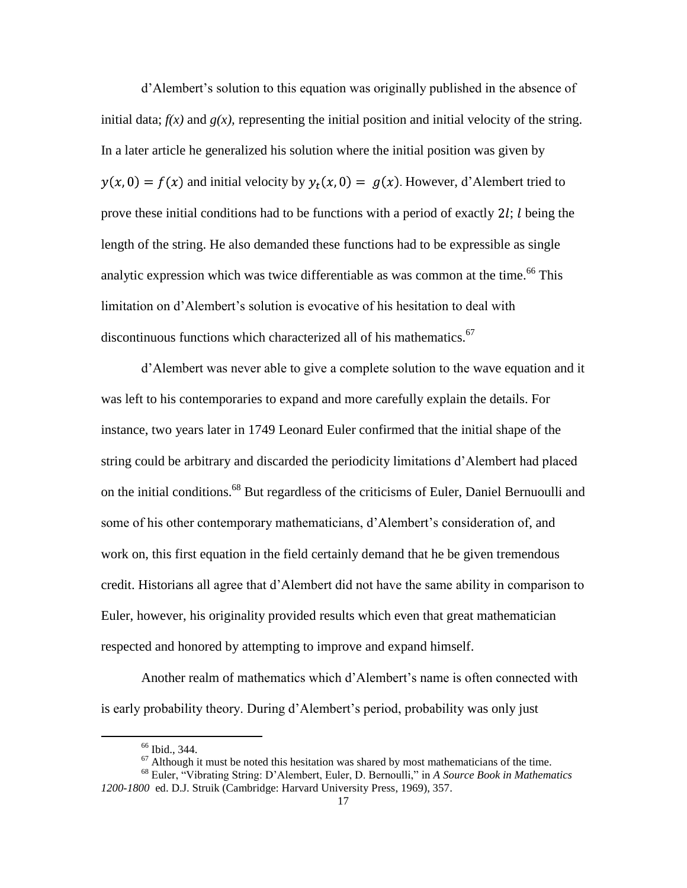d'Alembert's solution to this equation was originally published in the absence of initial data;  $f(x)$  and  $g(x)$ , representing the initial position and initial velocity of the string. In a later article he generalized his solution where the initial position was given by  $y(x, 0) = f(x)$  and initial velocity by  $y_t(x, 0) = g(x)$ . However, d'Alembert tried to prove these initial conditions had to be functions with a period of exactly  $2l$ ; l being the length of the string. He also demanded these functions had to be expressible as single analytic expression which was twice differentiable as was common at the time.<sup>66</sup> This limitation on d'Alembert's solution is evocative of his hesitation to deal with discontinuous functions which characterized all of his mathematics.<sup>67</sup>

d"Alembert was never able to give a complete solution to the wave equation and it was left to his contemporaries to expand and more carefully explain the details. For instance, two years later in 1749 Leonard Euler confirmed that the initial shape of the string could be arbitrary and discarded the periodicity limitations d"Alembert had placed on the initial conditions.<sup>68</sup> But regardless of the criticisms of Euler, Daniel Bernuoulli and some of his other contemporary mathematicians, d'Alembert's consideration of, and work on, this first equation in the field certainly demand that he be given tremendous credit. Historians all agree that d"Alembert did not have the same ability in comparison to Euler, however, his originality provided results which even that great mathematician respected and honored by attempting to improve and expand himself.

Another realm of mathematics which d"Alembert"s name is often connected with is early probability theory. During d'Alembert's period, probability was only just

<sup>66</sup> Ibid., 344.

 $67$  Although it must be noted this hesitation was shared by most mathematicians of the time.

<sup>68</sup> Euler, "Vibrating String: D"Alembert, Euler, D. Bernoulli," in *A Source Book in Mathematics 1200-1800* ed. D.J. Struik (Cambridge: Harvard University Press, 1969), 357.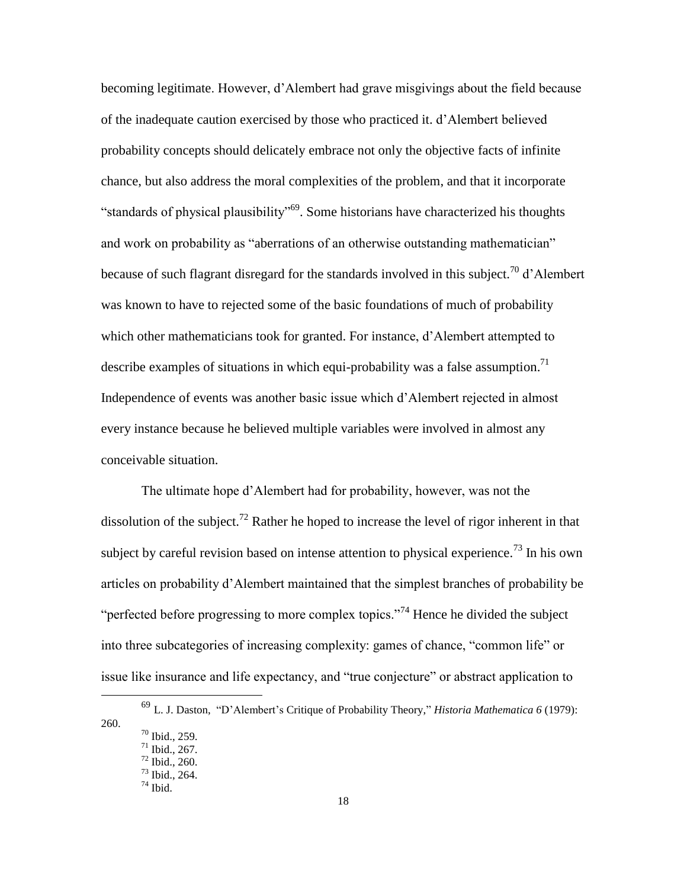becoming legitimate. However, d"Alembert had grave misgivings about the field because of the inadequate caution exercised by those who practiced it. d"Alembert believed probability concepts should delicately embrace not only the objective facts of infinite chance, but also address the moral complexities of the problem, and that it incorporate "standards of physical plausibility"<sup>69</sup>. Some historians have characterized his thoughts and work on probability as "aberrations of an otherwise outstanding mathematician" because of such flagrant disregard for the standards involved in this subject.<sup>70</sup> d'Alembert was known to have to rejected some of the basic foundations of much of probability which other mathematicians took for granted. For instance, d'Alembert attempted to describe examples of situations in which equi-probability was a false assumption.<sup>71</sup> Independence of events was another basic issue which d"Alembert rejected in almost every instance because he believed multiple variables were involved in almost any conceivable situation.

The ultimate hope d"Alembert had for probability, however, was not the dissolution of the subject.<sup>72</sup> Rather he hoped to increase the level of rigor inherent in that subject by careful revision based on intense attention to physical experience.<sup>73</sup> In his own articles on probability d"Alembert maintained that the simplest branches of probability be "perfected before progressing to more complex topics."<sup>74</sup> Hence he divided the subject into three subcategories of increasing complexity: games of chance, "common life" or issue like insurance and life expectancy, and "true conjecture" or abstract application to

<sup>69</sup> L. J. Daston, "D"Alembert"s Critique of Probability Theory," *Historia Mathematica 6* (1979): 260.

<sup>70</sup> Ibid., 259. <sup>71</sup> Ibid., 267.

<sup>72</sup> Ibid., 260. <sup>73</sup> Ibid., 264.

 $74$  Ibid.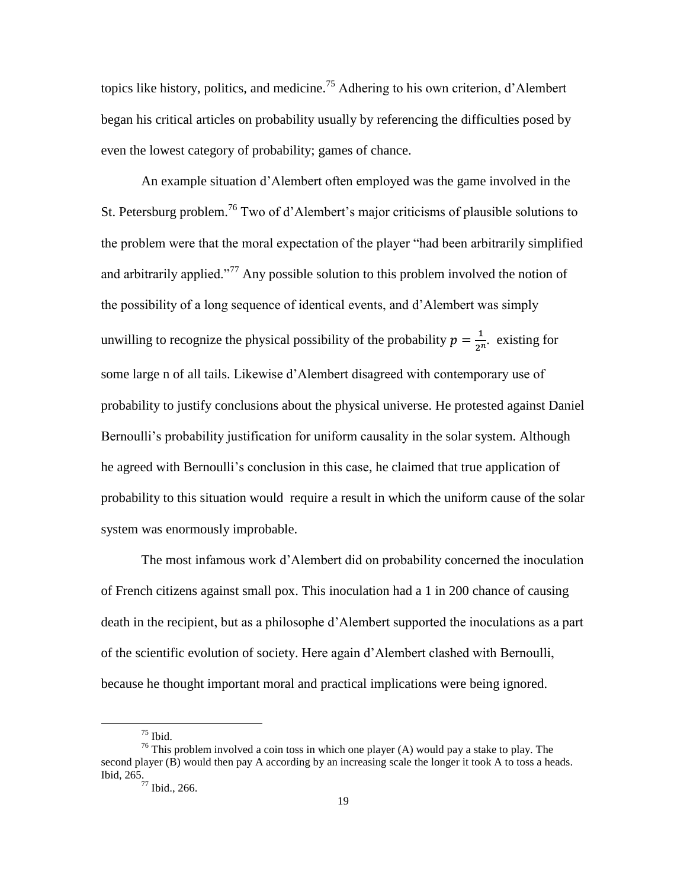topics like history, politics, and medicine.<sup>75</sup> Adhering to his own criterion, d'Alembert began his critical articles on probability usually by referencing the difficulties posed by even the lowest category of probability; games of chance.

An example situation d"Alembert often employed was the game involved in the St. Petersburg problem.<sup>76</sup> Two of d'Alembert's major criticisms of plausible solutions to the problem were that the moral expectation of the player "had been arbitrarily simplified and arbitrarily applied."<sup>77</sup> Any possible solution to this problem involved the notion of the possibility of a long sequence of identical events, and d"Alembert was simply unwilling to recognize the physical possibility of the probability  $p = \frac{1}{2n}$ . existing for some large n of all tails. Likewise d"Alembert disagreed with contemporary use of probability to justify conclusions about the physical universe. He protested against Daniel Bernoulli's probability justification for uniform causality in the solar system. Although he agreed with Bernoulli"s conclusion in this case, he claimed that true application of probability to this situation would require a result in which the uniform cause of the solar system was enormously improbable.

The most infamous work d"Alembert did on probability concerned the inoculation of French citizens against small pox. This inoculation had a 1 in 200 chance of causing death in the recipient, but as a philosophe d"Alembert supported the inoculations as a part of the scientific evolution of society. Here again d"Alembert clashed with Bernoulli, because he thought important moral and practical implications were being ignored.

 $75$  Ibid.

<sup>&</sup>lt;sup>76</sup> This problem involved a coin toss in which one player (A) would pay a stake to play. The second player (B) would then pay A according by an increasing scale the longer it took A to toss a heads. Ibid, 265.

 $77$  Ibid., 266.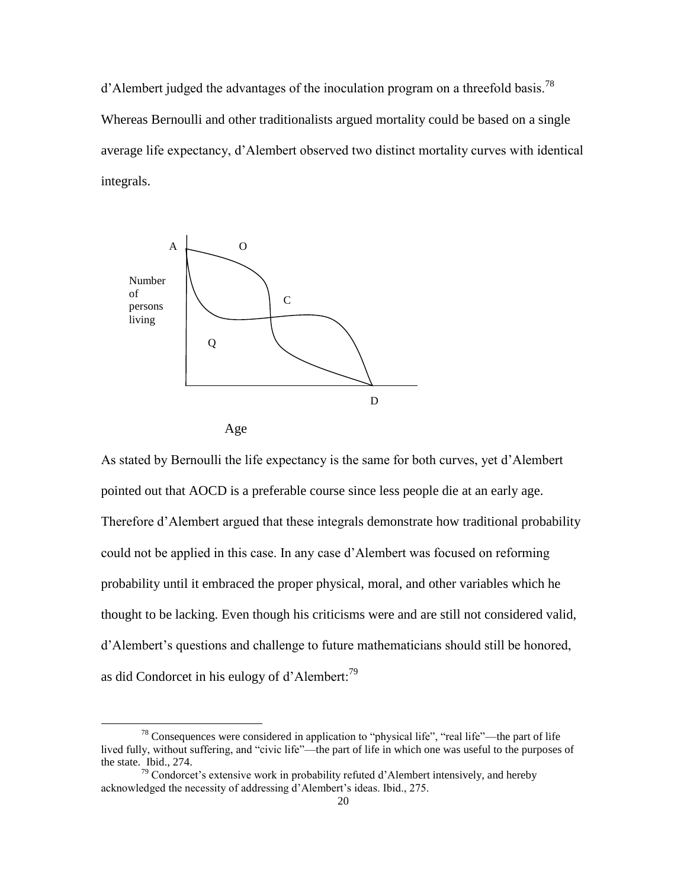d'Alembert judged the advantages of the inoculation program on a threefold basis.<sup>78</sup> Whereas Bernoulli and other traditionalists argued mortality could be based on a single average life expectancy, d"Alembert observed two distinct mortality curves with identical integrals.





 $\overline{a}$ 

As stated by Bernoulli the life expectancy is the same for both curves, yet d"Alembert pointed out that AOCD is a preferable course since less people die at an early age. Therefore d"Alembert argued that these integrals demonstrate how traditional probability could not be applied in this case. In any case d"Alembert was focused on reforming probability until it embraced the proper physical, moral, and other variables which he thought to be lacking. Even though his criticisms were and are still not considered valid, d'Alembert's questions and challenge to future mathematicians should still be honored, as did Condorcet in his eulogy of d'Alembert:<sup>79</sup>

<sup>&</sup>lt;sup>78</sup> Consequences were considered in application to "physical life", "real life"—the part of life lived fully, without suffering, and "civic life"—the part of life in which one was useful to the purposes of the state. Ibid., 274.

 $79$  Condorcet's extensive work in probability refuted d'Alembert intensively, and hereby acknowledged the necessity of addressing d'Alembert's ideas. Ibid., 275.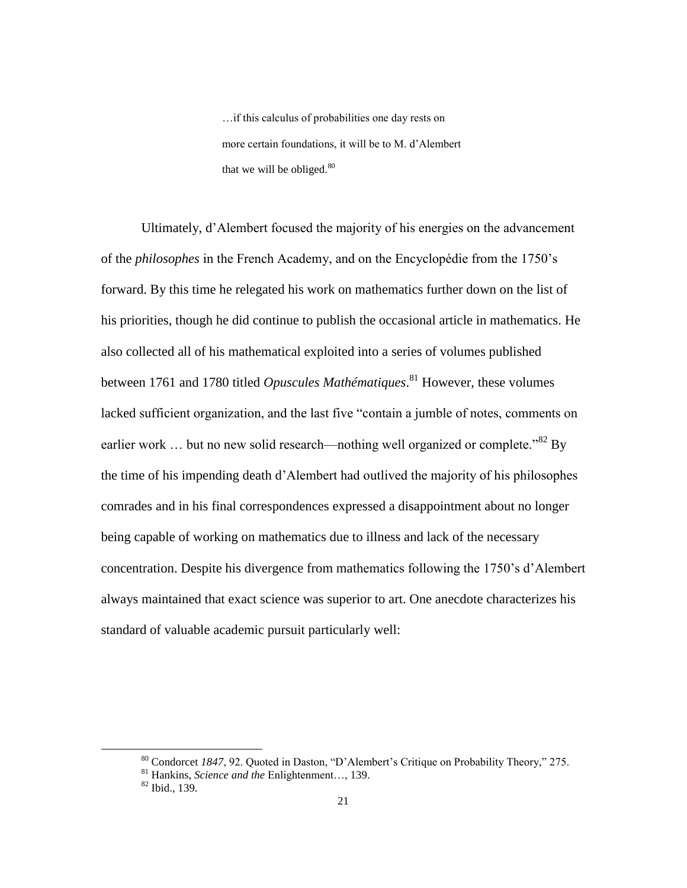…if this calculus of probabilities one day rests on more certain foundations, it will be to M. d"Alembert that we will be obliged. $80$ 

Ultimately, d"Alembert focused the majority of his energies on the advancement of the *philosophes* in the French Academy, and on the Encyclopédie from the 1750"s forward. By this time he relegated his work on mathematics further down on the list of his priorities, though he did continue to publish the occasional article in mathematics. He also collected all of his mathematical exploited into a series of volumes published between 1761 and 1780 titled *Opuscules Mathématiques*. <sup>81</sup> However, these volumes lacked sufficient organization, and the last five "contain a jumble of notes, comments on earlier work ... but no new solid research—nothing well organized or complete.<sup>"82</sup> By the time of his impending death d"Alembert had outlived the majority of his philosophes comrades and in his final correspondences expressed a disappointment about no longer being capable of working on mathematics due to illness and lack of the necessary concentration. Despite his divergence from mathematics following the 1750"s d"Alembert always maintained that exact science was superior to art. One anecdote characterizes his standard of valuable academic pursuit particularly well:

<sup>&</sup>lt;sup>80</sup> Condorcet 1847, 92. Quoted in Daston, "D'Alembert's Critique on Probability Theory," 275.

<sup>81</sup> Hankins, *Science and the* Enlightenment…, 139.

<sup>82</sup> Ibid., 139.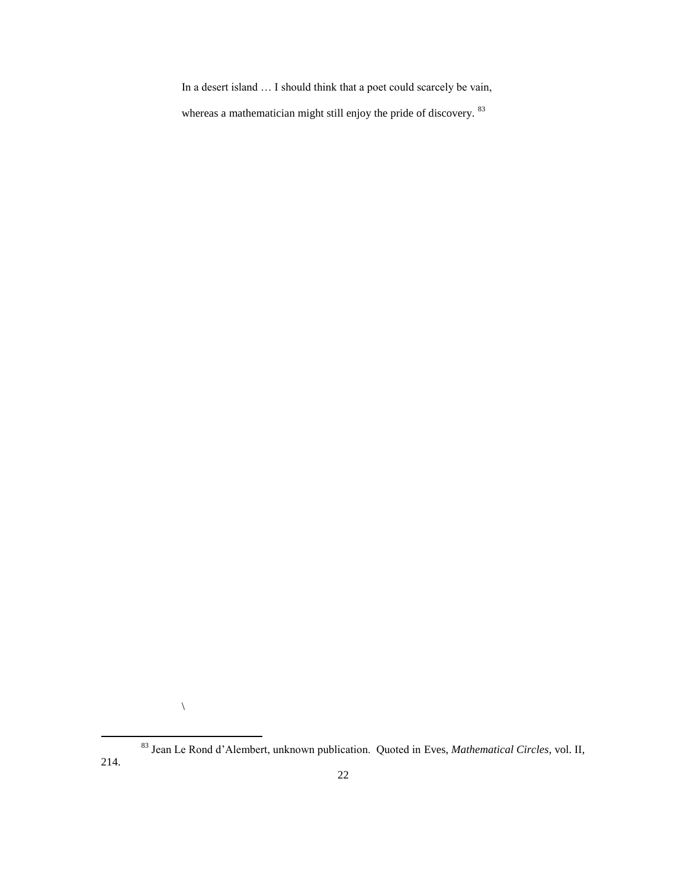In a desert island … I should think that a poet could scarcely be vain,

whereas a mathematician might still enjoy the pride of discovery. <sup>83</sup>

 $\backslash$ 

<sup>83</sup> Jean Le Rond d"Alembert, unknown publication. Quoted in Eves, *Mathematical Circles*, vol. II, 214.